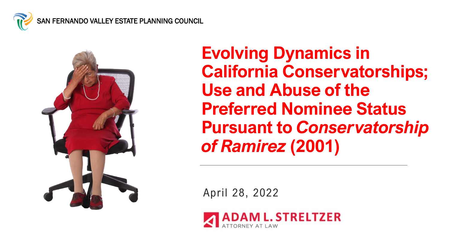



**Evolving Dynamics in California Conservatorships; Use and Abuse of the Preferred Nominee Status Pursuant to** *Conservatorship of Ramirez* **(2001)**

April 28, 2022

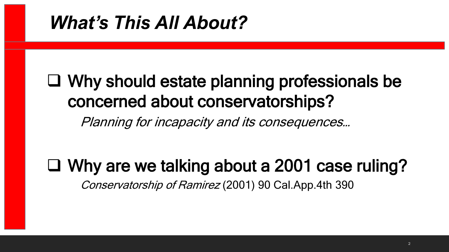### *What's This All About?*

### Why should estate planning professionals be concerned about conservatorships?

Planning for incapacity and its consequences…

### Why are we talking about a 2001 case ruling?

Conservatorship of Ramirez (2001) 90 Cal.App.4th 390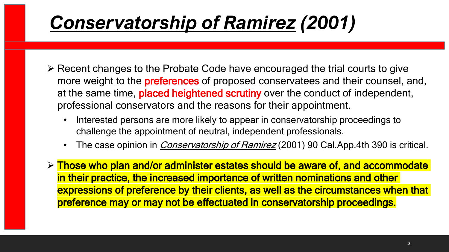# *Conservatorship of Ramirez (2001)*

- $\triangleright$  Recent changes to the Probate Code have encouraged the trial courts to give more weight to the **preferences** of proposed conservatees and their counsel, and, at the same time, placed heightened scrutiny over the conduct of independent, professional conservators and the reasons for their appointment.
	- Interested persons are more likely to appear in conservatorship proceedings to challenge the appointment of neutral, independent professionals.
	- The case opinion in *Conservatorship of Ramirez* (2001) 90 Cal.App.4th 390 is critical.
- $\triangleright$  Those who plan and/or administer estates should be aware of, and accommodate in their practice, the increased importance of written nominations and other expressions of preference by their clients, as well as the circumstances when that preference may or may not be effectuated in conservatorship proceedings.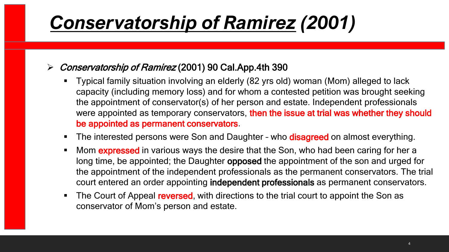# *Conservatorship of Ramirez (2001)*

#### Conservatorship of Ramirez (2001) 90 Cal.App.4th 390

- Typical family situation involving an elderly (82 yrs old) woman (Mom) alleged to lack capacity (including memory loss) and for whom a contested petition was brought seeking the appointment of conservator(s) of her person and estate. Independent professionals were appointed as temporary conservators, then the issue at trial was whether they should be appointed as permanent conservators.
- The interested persons were Son and Daughter who **disagreed** on almost everything.
- Mom **expressed** in various ways the desire that the Son, who had been caring for her a long time, be appointed; the Daughter opposed the appointment of the son and urged for the appointment of the independent professionals as the permanent conservators. The trial court entered an order appointing independent professionals as permanent conservators.
- The Court of Appeal reversed, with directions to the trial court to appoint the Son as conservator of Mom's person and estate.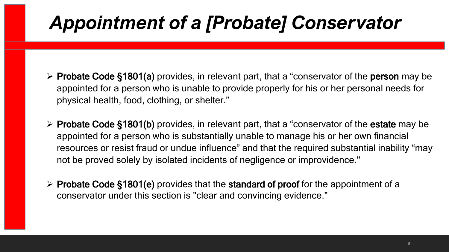# *Appointment of a [Probate] Conservator*

- $\triangleright$  Probate Code §1801(a) provides, in relevant part, that a "conservator of the person may be appointed for a person who is unable to provide properly for his or her personal needs for physical health, food, clothing, or shelter."
- ▶ Probate Code §1801(b) provides, in relevant part, that a "conservator of the estate may be appointed for a person who is substantially unable to manage his or her own financial resources or resist fraud or undue influence" and that the required substantial inability "may not be proved solely by isolated incidents of negligence or improvidence."
- $\triangleright$  Probate Code §1801(e) provides that the standard of proof for the appointment of a conservator under this section is "clear and convincing evidence."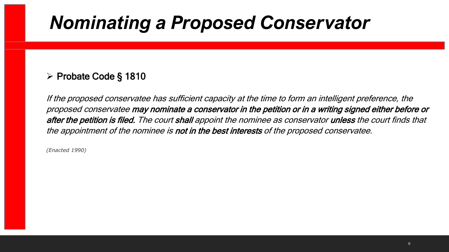#### $\triangleright$  Probate Code § 1810

If the proposed conservatee has sufficient capacity at the time to form an intelligent preference, the proposed conservatee may nominate a conservator in the petition or in a writing signed either before or after the petition is filed. The court shall appoint the nominee as conservator unless the court finds that the appointment of the nominee is not in the best interests of the proposed conservatee.

*(Enacted 1990)*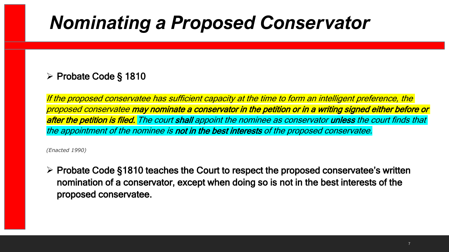#### $\triangleright$  Probate Code § 1810

If the proposed conservatee has sufficient capacity at the time to form an intelligent preference, the proposed conservatee may nominate a conservator in the petition or in a writing signed either before or after the petition is filed. The court shall appoint the nominee as conservator unless the court finds that the appointment of the nominee is not in the best interests of the proposed conservatee.

*(Enacted 1990)*

 $\triangleright$  Probate Code §1810 teaches the Court to respect the proposed conservatee's written nomination of a conservator, except when doing so is not in the best interests of the proposed conservatee.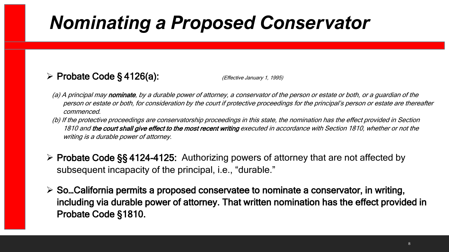#### $\triangleright$  Probate Code § 4126(a): (Effective January 1, 1995)

- (a) A principal may nominate, by a durable power of attorney, a conservator of the person or estate or both, or a guardian of the person or estate or both, for consideration by the court if protective proceedings for the principal's person or estate are thereafter commenced.
- (b) If the protective proceedings are conservatorship proceedings in this state, the nomination has the effect provided in Section 1810 and the court shall give effect to the most recent writing executed in accordance with Section 1810, whether or not the writing is a durable power of attorney.
- Probate Code §§ 4124-4125: Authorizing powers of attorney that are not affected by subsequent incapacity of the principal, i.e., "durable."
- $\triangleright$  So...California permits a proposed conservatee to nominate a conservator, in writing, including via durable power of attorney. That written nomination has the effect provided in Probate Code §1810.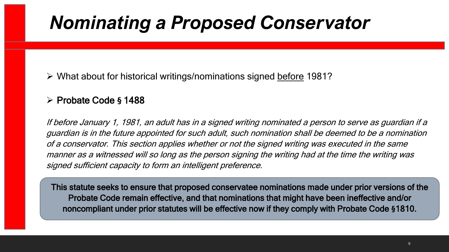What about for historical writings/nominations signed before 1981?

#### Probate Code **§** 1488

If before January 1, 1981, an adult has in a signed writing nominated a person to serve as guardian if a guardian is in the future appointed for such adult, such nomination shall be deemed to be a nomination of a conservator. This section applies whether or not the signed writing was executed in the same manner as a witnessed will so long as the person signing the writing had at the time the writing was signed sufficient capacity to form an intelligent preference.

This statute seeks to ensure that proposed conservatee nominations made under prior versions of the Probate Code remain effective, and that nominations that might have been ineffective and/or noncompliant under prior statutes will be effective now if they comply with Probate Code **§**1810.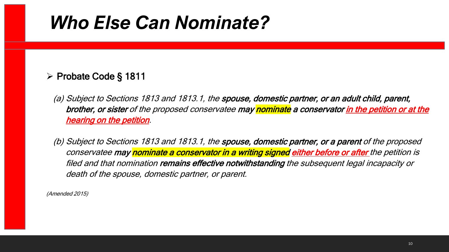### *Who Else Can Nominate?*

#### Probate Code § 1811

(a) Subject to Sections 1813 and 1813.1, the spouse, domestic partner, or an adult child, parent, brother, or sister of the proposed conservatee may nominate a conservator in the petition or at the hearing on the petition.

(b) Subject to Sections 1813 and 1813.1, the spouse, domestic partner, or a parent of the proposed conservatee may nominate a conservator in a writing signed either before or after the petition is filed and that nomination remains effective notwithstanding the subsequent legal incapacity or death of the spouse, domestic partner, or parent.

(Amended 2015)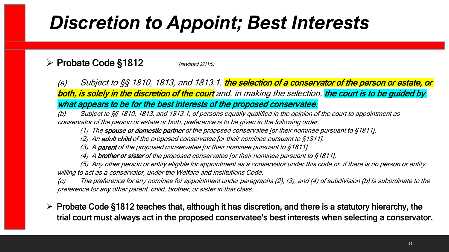# *Discretion to Appoint; Best Interests*

#### Probate Code §1812 (revised 2015)

(a) Subject to §§ 1810, 1813, and 1813.1, the selection of a conservator of the person or estate, or both, is solely in the discretion of the court and, in making the selection, the court is to be guided by what appears to be for the best interests of the proposed conservatee.

(b) Subject to §§ 1810, 1813, and 1813.1, of persons equally qualified in the opinion of the court to appointment as conservator of the person or estate or both, preference is to be given in the following order:

(1) The spouse or domestic partner of the proposed conservatee [or their nominee pursuant to  $$1811]$ .

(2) An adult child of the proposed conservatee [or their nominee pursuant to  $$1811$ ].

(3) A parent of the proposed conservatee [or their nominee pursuant to  $$1811$ ].

(4) A brother or sister of the proposed conservatee [or their nominee pursuant to  $$1811$ ].

(5) Any other person or entity eligible for appointment as a conservator under this code or, if there is no person or entity willing to act as a conservator, under the Welfare and Institutions Code.

(c) The preference for any nominee for appointment under paragraphs (2), (3), and (4) of subdivision (b) is subordinate to the preference for any other parent, child, brother, or sister in that class.

 $\triangleright$  Probate Code §1812 teaches that, although it has discretion, and there is a statutory hierarchy, the trial court must always act in the proposed conservatee's best interests when selecting a conservator.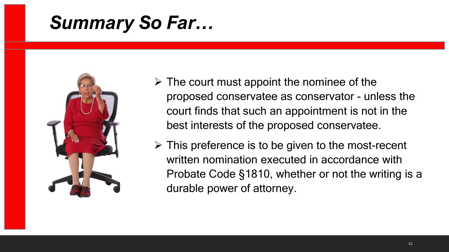## *Summary So Far…*



- $\triangleright$  The court must appoint the nominee of the proposed conservatee as conservator - unless the court finds that such an appointment is not in the best interests of the proposed conservatee.
- $\triangleright$  This preference is to be given to the most-recent written nomination executed in accordance with Probate Code §1810, whether or not the writing is a durable power of attorney.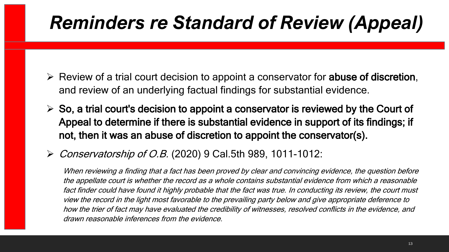# *Reminders re Standard of Review (Appeal)*

- $\triangleright$  Review of a trial court decision to appoint a conservator for abuse of discretion, and review of an underlying factual findings for substantial evidence.
- $\triangleright$  So, a trial court's decision to appoint a conservator is reviewed by the Court of Appeal to determine if there is substantial evidence in support of its findings; if not, then it was an abuse of discretion to appoint the conservator(s).
- Conservatorship of O.B. (2020) 9 Cal.5th 989, 1011-1012:

When reviewing a finding that a fact has been proved by clear and convincing evidence, the question before the appellate court is whether the record as a whole contains substantial evidence from which a reasonable fact finder could have found it highly probable that the fact was true. In conducting its review, the court must view the record in the light most favorable to the prevailing party below and give appropriate deference to how the trier of fact may have evaluated the credibility of witnesses, resolved conflicts in the evidence, and drawn reasonable inferences from the evidence.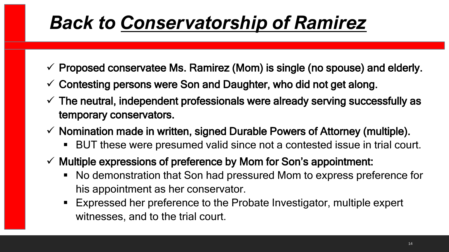- Proposed conservatee Ms. Ramirez (Mom) is single (no spouse) and elderly.
- $\checkmark$  Contesting persons were Son and Daughter, who did not get along.
- $\checkmark$  The neutral, independent professionals were already serving successfully as temporary conservators.
- $\checkmark$  Nomination made in written, signed Durable Powers of Attorney (multiple).
	- BUT these were presumed valid since not a contested issue in trial court.
- $\checkmark$  Multiple expressions of preference by Mom for Son's appointment:
	- No demonstration that Son had pressured Mom to express preference for his appointment as her conservator.
	- Expressed her preference to the Probate Investigator, multiple expert witnesses, and to the trial court.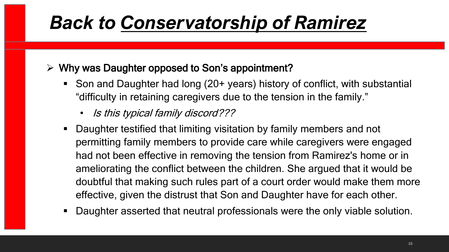$\triangleright$  Why was Daughter opposed to Son's appointment?

- Son and Daughter had long (20+ years) history of conflict, with substantial "difficulty in retaining caregivers due to the tension in the family."
	- Is this typical family discord???
- Daughter testified that limiting visitation by family members and not permitting family members to provide care while caregivers were engaged had not been effective in removing the tension from Ramirez's home or in ameliorating the conflict between the children. She argued that it would be doubtful that making such rules part of a court order would make them more effective, given the distrust that Son and Daughter have for each other.
- Daughter asserted that neutral professionals were the only viable solution.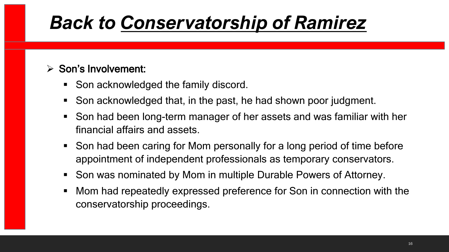#### $\triangleright$  Son's Involvement:

- Son acknowledged the family discord.
- Son acknowledged that, in the past, he had shown poor judgment.
- Son had been long-term manager of her assets and was familiar with her financial affairs and assets.
- Son had been caring for Mom personally for a long period of time before appointment of independent professionals as temporary conservators.
- Son was nominated by Mom in multiple Durable Powers of Attorney.
- Mom had repeatedly expressed preference for Son in connection with the conservatorship proceedings.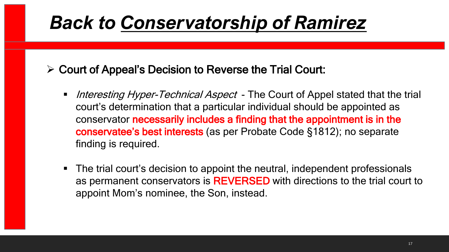- $\triangleright$  Court of Appeal's Decision to Reverse the Trial Court:
	- Interesting Hyper-Technical Aspect The Court of Appel stated that the trial court's determination that a particular individual should be appointed as conservator necessarily includes a finding that the appointment is in the conservatee's best interests (as per Probate Code §1812); no separate finding is required.
	- The trial court's decision to appoint the neutral, independent professionals as permanent conservators is REVERSED with directions to the trial court to appoint Mom's nominee, the Son, instead.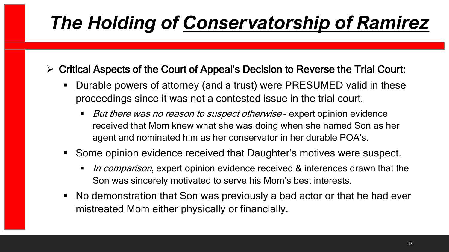- $\triangleright$  Critical Aspects of the Court of Appeal's Decision to Reverse the Trial Court:
	- Durable powers of attorney (and a trust) were PRESUMED valid in these proceedings since it was not a contested issue in the trial court.
		- But there was no reason to suspect otherwise expert opinion evidence received that Mom knew what she was doing when she named Son as her agent and nominated him as her conservator in her durable POA's.
	- Some opinion evidence received that Daughter's motives were suspect.
		- In comparison, expert opinion evidence received & inferences drawn that the Son was sincerely motivated to serve his Mom's best interests.
	- No demonstration that Son was previously a bad actor or that he had ever mistreated Mom either physically or financially.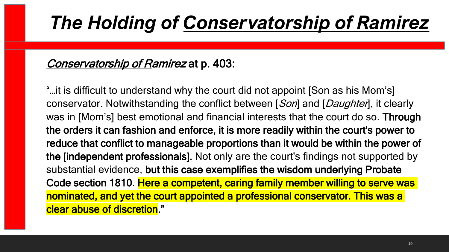#### Conservatorship of Ramirez at p. 403:

"…it is difficult to understand why the court did not appoint [Son as his Mom's] conservator. Notwithstanding the conflict between [Son] and [Daughten], it clearly was in [Mom's] best emotional and financial interests that the court do so. Through the orders it can fashion and enforce, it is more readily within the court's power to reduce that conflict to manageable proportions than it would be within the power of the [independent professionals]. Not only are the court's findings not supported by substantial evidence, but this case exemplifies the wisdom underlying Probate Code section 1810. Here a competent, caring family member willing to serve was nominated, and yet the court appointed a professional conservator. This was a clear abuse of discretion."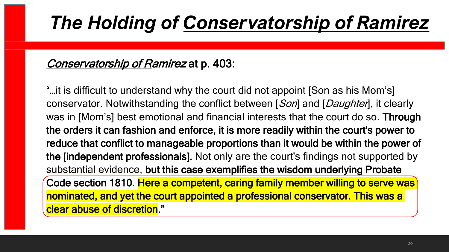#### Conservatorship of Ramirez at p. 403:

"…it is difficult to understand why the court did not appoint [Son as his Mom's] conservator. Notwithstanding the conflict between [Son] and [Daughten], it clearly was in [Mom's] best emotional and financial interests that the court do so. Through the orders it can fashion and enforce, it is more readily within the court's power to reduce that conflict to manageable proportions than it would be within the power of the [independent professionals]. Not only are the court's findings not supported by substantial evidence, but this case exemplifies the wisdom underlying Probate Code section 1810. Here a competent, caring family member willing to serve was nominated, and yet the court appointed a professional conservator. This was a clear abuse of discretion."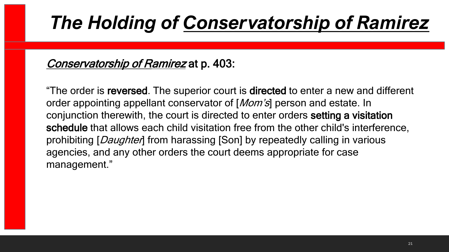#### Conservatorship of Ramirez at p. 403:

"The order is reversed. The superior court is directed to enter a new and different order appointing appellant conservator of [*Mom's*] person and estate. In conjunction therewith, the court is directed to enter orders setting a visitation schedule that allows each child visitation free from the other child's interference, prohibiting [*Daughter*] from harassing [Son] by repeatedly calling in various agencies, and any other orders the court deems appropriate for case management."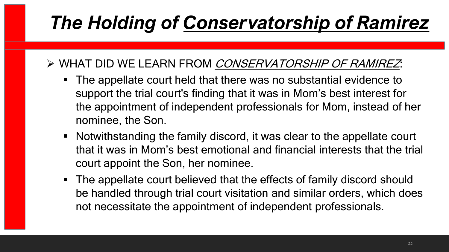### > WHAT DID WE LEARN FROM CONSERVATORSHIP OF RAMIREZ:

- The appellate court held that there was no substantial evidence to support the trial court's finding that it was in Mom's best interest for the appointment of independent professionals for Mom, instead of her nominee, the Son.
- Notwithstanding the family discord, it was clear to the appellate court that it was in Mom's best emotional and financial interests that the trial court appoint the Son, her nominee.
- The appellate court believed that the effects of family discord should be handled through trial court visitation and similar orders, which does not necessitate the appointment of independent professionals.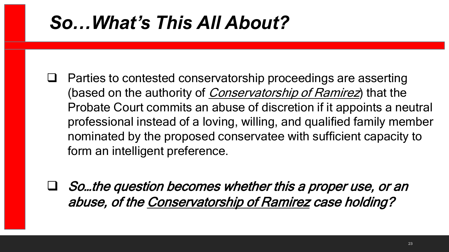# *So…What's This All About?*

- $\Box$  Parties to contested conservatorship proceedings are asserting (based on the authority of *Conservatorship of Ramirez*) that the Probate Court commits an abuse of discretion if it appoints a neutral professional instead of a loving, willing, and qualified family member nominated by the proposed conservatee with sufficient capacity to form an intelligent preference.
- So…the question becomes whether this a proper use, or an abuse, of the Conservatorship of Ramirez case holding?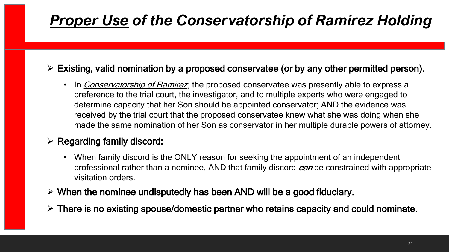### *Proper Use of the Conservatorship of Ramirez Holding*

#### $\triangleright$  Existing, valid nomination by a proposed conservatee (or by any other permitted person).

• In *Conservatorship of Ramirez*, the proposed conservatee was presently able to express a preference to the trial court, the investigator, and to multiple experts who were engaged to determine capacity that her Son should be appointed conservator; AND the evidence was received by the trial court that the proposed conservatee knew what she was doing when she made the same nomination of her Son as conservator in her multiple durable powers of attorney.

#### $\triangleright$  Regarding family discord:

- When family discord is the ONLY reason for seeking the appointment of an independent professional rather than a nominee, AND that family discord *can* be constrained with appropriate visitation orders.
- $\triangleright$  When the nominee undisputedly has been AND will be a good fiduciary.
- $\triangleright$  There is no existing spouse/domestic partner who retains capacity and could nominate.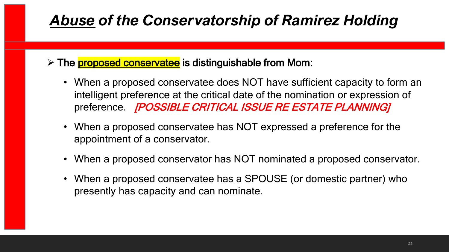#### > The **proposed conservatee** is distinguishable from Mom:

- When a proposed conservatee does NOT have sufficient capacity to form an intelligent preference at the critical date of the nomination or expression of preference. *[POSSIBLE CRITICAL ISSUE RE ESTATE PLANNING]*
- When a proposed conservatee has NOT expressed a preference for the appointment of a conservator.
- When a proposed conservator has NOT nominated a proposed conservator.
- When a proposed conservatee has a SPOUSE (or domestic partner) who presently has capacity and can nominate.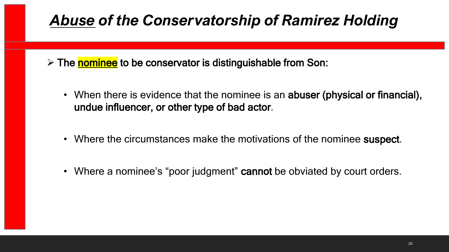$\triangleright$  The nominee to be conservator is distinguishable from Son:

- When there is evidence that the nominee is an abuser (physical or financial), undue influencer, or other type of bad actor.
- Where the circumstances make the motivations of the nominee suspect.
- Where a nominee's "poor judgment" cannot be obviated by court orders.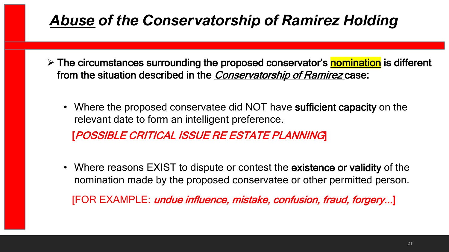- $\triangleright$  The circumstances surrounding the proposed conservator's **nomination** is different from the situation described in the Conservatorship of Ramirez case:
	- Where the proposed conservatee did NOT have sufficient capacity on the relevant date to form an intelligent preference. [POSSIBLE CRITICAL ISSUE RE ESTATE PLANNING]
	- Where reasons EXIST to dispute or contest the existence or validity of the nomination made by the proposed conservatee or other permitted person.

[FOR EXAMPLE: *undue influence, mistake, confusion, fraud, forgery...*]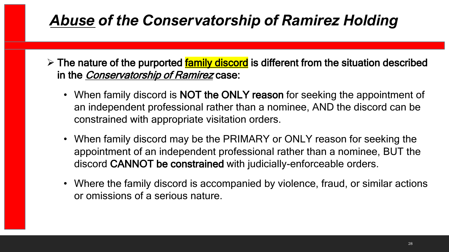- $\triangleright$  The nature of the purported family discord is different from the situation described in the *Conservatorship of Ramirez* case:
	- When family discord is **NOT the ONLY reason** for seeking the appointment of an independent professional rather than a nominee, AND the discord can be constrained with appropriate visitation orders.
	- When family discord may be the PRIMARY or ONLY reason for seeking the appointment of an independent professional rather than a nominee, BUT the discord CANNOT be constrained with judicially-enforceable orders.
	- Where the family discord is accompanied by violence, fraud, or similar actions or omissions of a serious nature.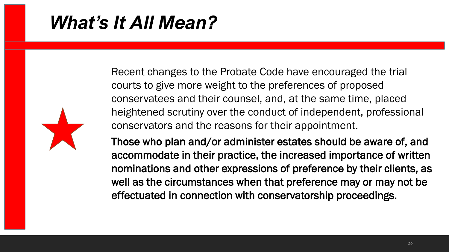## *What's It All Mean?*

Recent changes to the Probate Code have encouraged the trial courts to give more weight to the preferences of proposed conservatees and their counsel, and, at the same time, placed heightened scrutiny over the conduct of independent, professional conservators and the reasons for their appointment.

Those who plan and/or administer estates should be aware of, and accommodate in their practice, the increased importance of written nominations and other expressions of preference by their clients, as well as the circumstances when that preference may or may not be effectuated in connection with conservatorship proceedings.